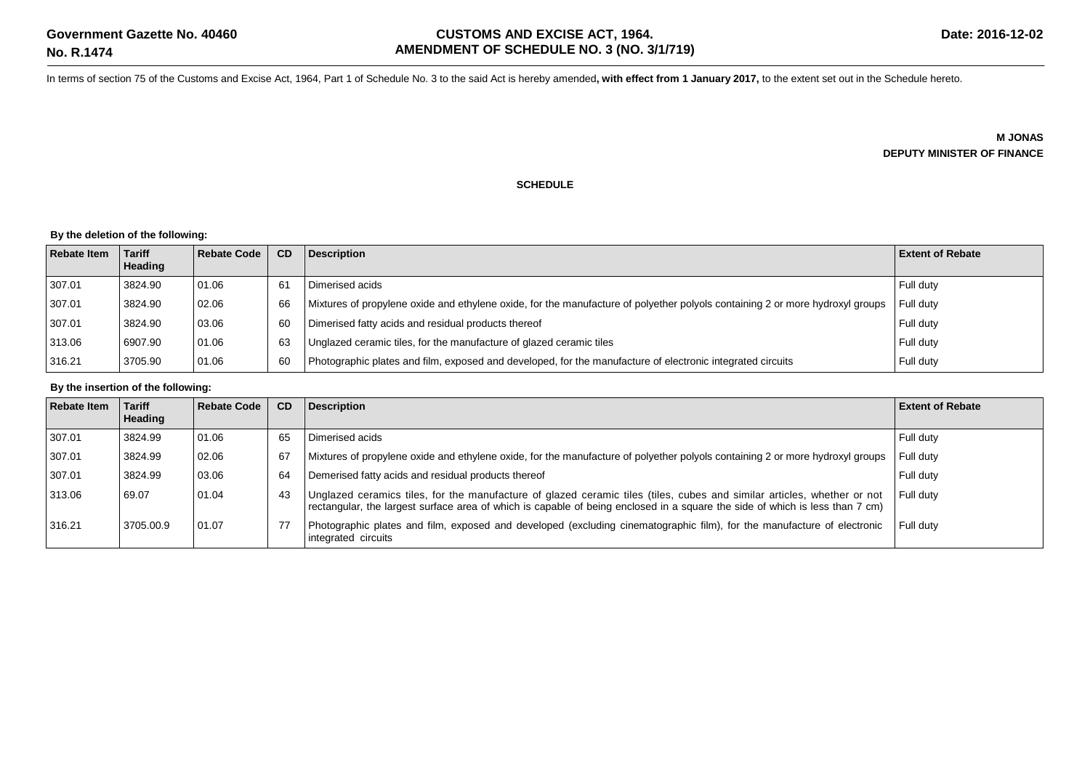In terms of section 75 of the Customs and Excise Act, 1964, Part 1 of Schedule No. 3 to the said Act is hereby amended**, with effect from 1 January 2017,** to the extent set out in the Schedule hereto.

**M JONAS DEPUTY MINISTER OF FINANCE**

## **SCHEDULE**

## **By the deletion of the following:**

| <b>Rebate Item</b> | l Tariff<br>Heading | Rebate Code | CD  | <b>Description</b>                                                                                                            | <b>Extent of Rebate</b> |
|--------------------|---------------------|-------------|-----|-------------------------------------------------------------------------------------------------------------------------------|-------------------------|
| 307.01             | 3824.90             | 01.06       | -61 | Dimerised acids                                                                                                               | Full duty               |
| 307.01             | 3824.90             | 02.06       | 66  | Mixtures of propylene oxide and ethylene oxide, for the manufacture of polyether polyols containing 2 or more hydroxyl groups | Full dutv               |
| 307.01             | 3824.90             | 03.06       | 60  | Dimerised fatty acids and residual products thereof                                                                           | Full duty               |
| 313.06             | 6907.90             | 01.06       | 63  | Unglazed ceramic tiles, for the manufacture of glazed ceramic tiles                                                           | Full duty               |
| 316.21             | 3705.90             | 01.06       | 60  | Photographic plates and film, exposed and developed, for the manufacture of electronic integrated circuits                    | Full duty               |

## **By the insertion of the following:**

| <b>Rebate Item</b> | <b>Tariff</b><br><b>Heading</b> | <b>Rebate Code</b> | CD | <b>Description</b>                                                                                                                                                                                                                                      | <b>Extent of Rebate</b> |
|--------------------|---------------------------------|--------------------|----|---------------------------------------------------------------------------------------------------------------------------------------------------------------------------------------------------------------------------------------------------------|-------------------------|
| 307.01             | 3824.99                         | 01.06              | 65 | Dimerised acids                                                                                                                                                                                                                                         | Full duty               |
| 307.01             | 3824.99                         | 02.06              | 67 | Mixtures of propylene oxide and ethylene oxide, for the manufacture of polyether polyols containing 2 or more hydroxyl groups                                                                                                                           | Full duty               |
| 307.01             | 3824.99                         | 03.06              | 64 | Demerised fatty acids and residual products thereof                                                                                                                                                                                                     | Full duty               |
| 313.06             | 69.07                           | 01.04              | 43 | Unglazed ceramics tiles, for the manufacture of glazed ceramic tiles (tiles, cubes and similar articles, whether or not<br>rectangular, the largest surface area of which is capable of being enclosed in a square the side of which is less than 7 cm) | Full duty               |
| 316.21             | 3705.00.9                       | 01.07              | 77 | Photographic plates and film, exposed and developed (excluding cinematographic film), for the manufacture of electronic<br>integrated circuits                                                                                                          | Full duty               |